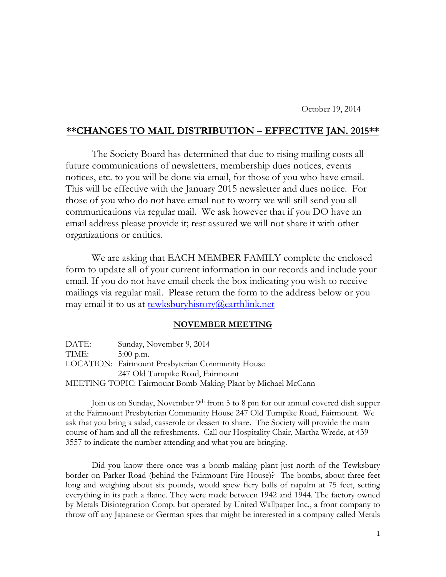## **\*\*CHANGES TO MAIL DISTRIBUTION – EFFECTIVE JAN. 2015\*\***

The Society Board has determined that due to rising mailing costs all future communications of newsletters, membership dues notices, events notices, etc. to you will be done via email, for those of you who have email. This will be effective with the January 2015 newsletter and dues notice. For those of you who do not have email not to worry we will still send you all communications via regular mail. We ask however that if you DO have an email address please provide it; rest assured we will not share it with other organizations or entities.

We are asking that EACH MEMBER FAMILY complete the enclosed form to update all of your current information in our records and include your email. If you do not have email check the box indicating you wish to receive mailings via regular mail. Please return the form to the address below or you may email it to us at [tewksburyhistory@earthlink.net](mailto:tewksburyhistory@earthlink.net) 

## **NOVEMBER MEETING**

| DATE: | Sunday, November 9, 2014                                     |
|-------|--------------------------------------------------------------|
| TIME: | $5:00$ p.m.                                                  |
|       | LOCATION: Fairmount Presbyterian Community House             |
|       | 247 Old Turnpike Road, Fairmount                             |
|       | MEETING TOPIC: Fairmount Bomb-Making Plant by Michael McCann |

Join us on Sunday, November 9<sup>th</sup> from 5 to 8 pm for our annual covered dish supper at the Fairmount Presbyterian Community House 247 Old Turnpike Road, Fairmount. We ask that you bring a salad, casserole or dessert to share. The Society will provide the main course of ham and all the refreshments. Call our Hospitality Chair, Martha Wrede, at 439- 3557 to indicate the number attending and what you are bringing.

Did you know there once was a bomb making plant just north of the Tewksbury border on Parker Road (behind the Fairmount Fire House)? The bombs, about three feet long and weighing about six pounds, would spew fiery balls of napalm at 75 feet, setting everything in its path a flame. They were made between 1942 and 1944. The factory owned by Metals Disintegration Comp. but operated by United Wallpaper Inc., a front company to throw off any Japanese or German spies that might be interested in a company called Metals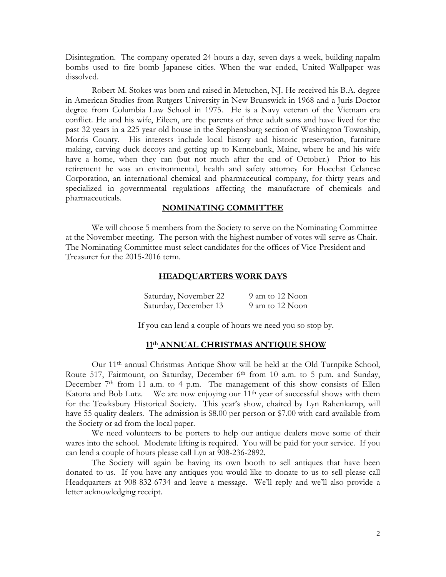Disintegration. The company operated 24-hours a day, seven days a week, building napalm bombs used to fire bomb Japanese cities. When the war ended, United Wallpaper was dissolved.

Robert M. Stokes was born and raised in Metuchen, NJ. He received his B.A. degree in American Studies from Rutgers University in New Brunswick in 1968 and a Juris Doctor degree from Columbia Law School in 1975. He is a Navy veteran of the Vietnam era conflict. He and his wife, Eileen, are the parents of three adult sons and have lived for the past 32 years in a 225 year old house in the Stephensburg section of Washington Township, Morris County. His interests include local history and historic preservation, furniture making, carving duck decoys and getting up to Kennebunk, Maine, where he and his wife have a home, when they can (but not much after the end of October.) Prior to his retirement he was an environmental, health and safety attorney for Hoechst Celanese Corporation, an international chemical and pharmaceutical company, for thirty years and specialized in governmental regulations affecting the manufacture of chemicals and pharmaceuticals.

#### **NOMINATING COMMITTEE**

We will choose 5 members from the Society to serve on the Nominating Committee at the November meeting. The person with the highest number of votes will serve as Chair. The Nominating Committee must select candidates for the offices of Vice-President and Treasurer for the 2015-2016 term.

## **HEADQUARTERS WORK DAYS**

| Saturday, November 22 | 9 am to 12 Noon |
|-----------------------|-----------------|
| Saturday, December 13 | 9 am to 12 Noon |

If you can lend a couple of hours we need you so stop by.

### **11th ANNUAL CHRISTMAS ANTIQUE SHOW**

Our 11th annual Christmas Antique Show will be held at the Old Turnpike School, Route 517, Fairmount, on Saturday, December 6<sup>th</sup> from 10 a.m. to 5 p.m. and Sunday, December 7<sup>th</sup> from 11 a.m. to 4 p.m. The management of this show consists of Ellen Katona and Bob Lutz. We are now enjoying our 11th year of successful shows with them for the Tewksbury Historical Society. This year's show, chaired by Lyn Rahenkamp, will have 55 quality dealers. The admission is \$8.00 per person or \$7.00 with card available from the Society or ad from the local paper.

We need volunteers to be porters to help our antique dealers move some of their wares into the school. Moderate lifting is required. You will be paid for your service. If you can lend a couple of hours please call Lyn at 908-236-2892.

The Society will again be having its own booth to sell antiques that have been donated to us. If you have any antiques you would like to donate to us to sell please call Headquarters at 908-832-6734 and leave a message. We'll reply and we'll also provide a letter acknowledging receipt.